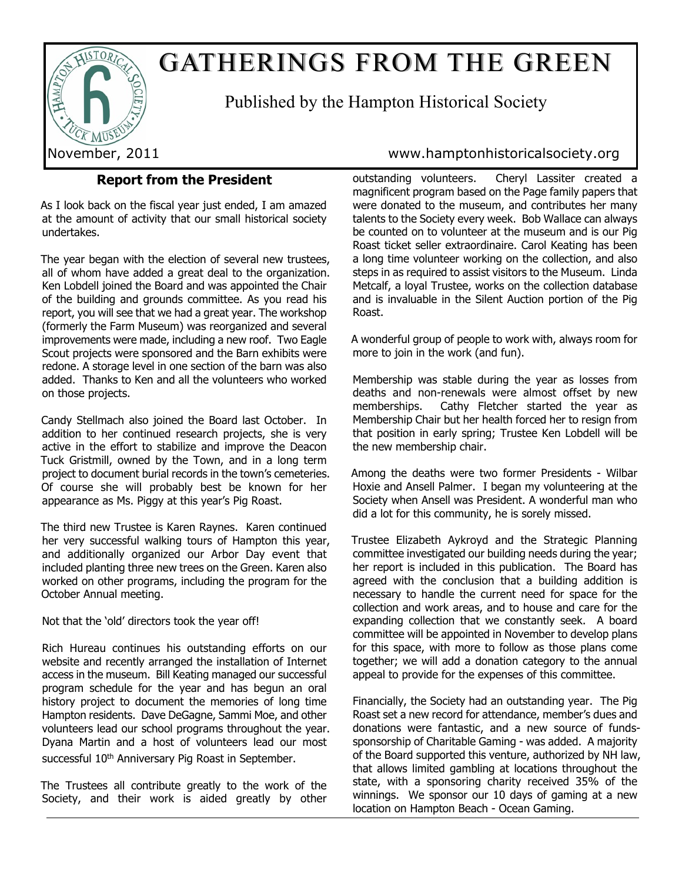

# GATHERINGS FROM THE GREEN

Published by the Hampton Historical Society

# **Report from the President**

As I look back on the fiscal year just ended, I am amazed at the amount of activity that our small historical society undertakes.

The year began with the election of several new trustees, all of whom have added a great deal to the organization. Ken Lobdell joined the Board and was appointed the Chair of the building and grounds committee. As you read his report, you will see that we had a great year. The workshop (formerly the Farm Museum) was reorganized and several improvements were made, including a new roof. Two Eagle Scout projects were sponsored and the Barn exhibits were redone. A storage level in one section of the barn was also added. Thanks to Ken and all the volunteers who worked on those projects.

Candy Stellmach also joined the Board last October. In addition to her continued research projects, she is very active in the effort to stabilize and improve the Deacon Tuck Gristmill, owned by the Town, and in a long term project to document burial records in the town's cemeteries. Of course she will probably best be known for her appearance as Ms. Piggy at this year's Pig Roast.

The third new Trustee is Karen Raynes. Karen continued her very successful walking tours of Hampton this year, and additionally organized our Arbor Day event that included planting three new trees on the Green. Karen also worked on other programs, including the program for the October Annual meeting.

Not that the 'old' directors took the year off!

Rich Hureau continues his outstanding efforts on our website and recently arranged the installation of Internet access in the museum. Bill Keating managed our successful program schedule for the year and has begun an oral history project to document the memories of long time Hampton residents. Dave DeGagne, Sammi Moe, and other volunteers lead our school programs throughout the year. Dyana Martin and a host of volunteers lead our most successful 10<sup>th</sup> Anniversary Pig Roast in September.

The Trustees all contribute greatly to the work of the Society, and their work is aided greatly by other

November, 2011 www.hamptonhistoricalsociety.org

outstanding volunteers. Cheryl Lassiter created a magnificent program based on the Page family papers that were donated to the museum, and contributes her many talents to the Society every week. Bob Wallace can always be counted on to volunteer at the museum and is our Pig Roast ticket seller extraordinaire. Carol Keating has been a long time volunteer working on the collection, and also steps in as required to assist visitors to the Museum. Linda Metcalf, a loyal Trustee, works on the collection database and is invaluable in the Silent Auction portion of the Pig Roast.

A wonderful group of people to work with, always room for more to join in the work (and fun).

Membership was stable during the year as losses from deaths and non-renewals were almost offset by new memberships. Cathy Fletcher started the year as Membership Chair but her health forced her to resign from that position in early spring; Trustee Ken Lobdell will be the new membership chair.

Among the deaths were two former Presidents - Wilbar Hoxie and Ansell Palmer. I began my volunteering at the Society when Ansell was President. A wonderful man who did a lot for this community, he is sorely missed.

Trustee Elizabeth Aykroyd and the Strategic Planning committee investigated our building needs during the year; her report is included in this publication. The Board has agreed with the conclusion that a building addition is necessary to handle the current need for space for the collection and work areas, and to house and care for the expanding collection that we constantly seek. A board committee will be appointed in November to develop plans for this space, with more to follow as those plans come together; we will add a donation category to the annual appeal to provide for the expenses of this committee.

Financially, the Society had an outstanding year. The Pig Roast set a new record for attendance, member's dues and donations were fantastic, and a new source of fundssponsorship of Charitable Gaming - was added. A majority of the Board supported this venture, authorized by NH law, that allows limited gambling at locations throughout the state, with a sponsoring charity received 35% of the winnings. We sponsor our 10 days of gaming at a new location on Hampton Beach - Ocean Gaming.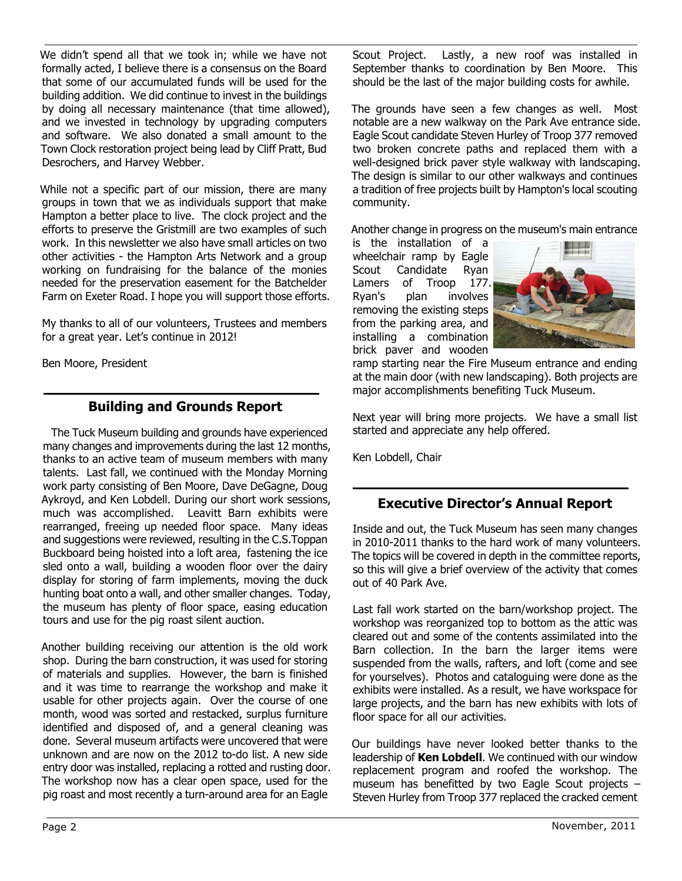We didn't spend all that we took in; while we have not formally acted, I believe there is a consensus on the Board that some of our accumulated funds will be used for the building addition. We did continue to invest in the buildings by doing all necessary maintenance (that time allowed), and we invested in technology by upgrading computers and software. We also donated a small amount to the Town Clock restoration project being lead by Cliff Pratt, Bud Desrochers, and Harvey Webber.

While not a specific part of our mission, there are many groups in town that we as individuals support that make Hampton a better place to live. The clock project and the efforts to preserve the Gristmill are two examples of such work. In this newsletter we also have small articles on two other activities - the Hampton Arts Network and a group working on fundraising for the balance of the monies needed for the preservation easement for the Batchelder Farm on Exeter Road. I hope you will support those efforts.

My thanks to all of our volunteers, Trustees and members for a great year. Let's continue in 2012!

Ben Moore, President

# **Building and Grounds Report**

 The Tuck Museum building and grounds have experienced many changes and improvements during the last 12 months, thanks to an active team of museum members with many talents. Last fall, we continued with the Monday Morning work party consisting of Ben Moore, Dave DeGagne, Doug Aykroyd, and Ken Lobdell. During our short work sessions, much was accomplished. Leavitt Barn exhibits were rearranged, freeing up needed floor space. Many ideas and suggestions were reviewed, resulting in the C.S.Toppan Buckboard being hoisted into a loft area, fastening the ice sled onto a wall, building a wooden floor over the dairy display for storing of farm implements, moving the duck hunting boat onto a wall, and other smaller changes. Today, the museum has plenty of floor space, easing education tours and use for the pig roast silent auction.

Another building receiving our attention is the old work shop. During the barn construction, it was used for storing of materials and supplies. However, the barn is finished and it was time to rearrange the workshop and make it usable for other projects again. Over the course of one month, wood was sorted and restacked, surplus furniture identified and disposed of, and a general cleaning was done. Several museum artifacts were uncovered that were unknown and are now on the 2012 to-do list. A new side entry door was installed, replacing a rotted and rusting door. The workshop now has a clear open space, used for the pig roast and most recently a turn-around area for an Eagle

Scout Project. Lastly, a new roof was installed in September thanks to coordination by Ben Moore. This should be the last of the major building costs for awhile.

The grounds have seen a few changes as well. Most notable are a new walkway on the Park Ave entrance side. Eagle Scout candidate Steven Hurley of Troop 377 removed two broken concrete paths and replaced them with a well-designed brick paver style walkway with landscaping. The design is similar to our other walkways and continues a tradition of free projects built by Hampton's local scouting community.

Another change in progress on the museum's main entrance

is the installation of a wheelchair ramp by Eagle Scout Candidate Ryan Lamers of Troop 177. Ryan's plan involves removing the existing steps from the parking area, and installing a combination brick paver and wooden



ramp starting near the Fire Museum entrance and ending at the main door (with new landscaping). Both projects are major accomplishments benefiting Tuck Museum.

Next year will bring more projects. We have a small list started and appreciate any help offered.

Ken Lobdell, Chair

# **Executive Director's Annual Report**

Inside and out, the Tuck Museum has seen many changes in 2010-2011 thanks to the hard work of many volunteers. The topics will be covered in depth in the committee reports, so this will give a brief overview of the activity that comes out of 40 Park Ave.

Last fall work started on the barn/workshop project. The workshop was reorganized top to bottom as the attic was cleared out and some of the contents assimilated into the Barn collection. In the barn the larger items were suspended from the walls, rafters, and loft (come and see for yourselves). Photos and cataloguing were done as the exhibits were installed. As a result, we have workspace for large projects, and the barn has new exhibits with lots of floor space for all our activities.

Our buildings have never looked better thanks to the leadership of **Ken Lobdell**. We continued with our window replacement program and roofed the workshop. The museum has benefitted by two Eagle Scout projects – Steven Hurley from Troop 377 replaced the cracked cement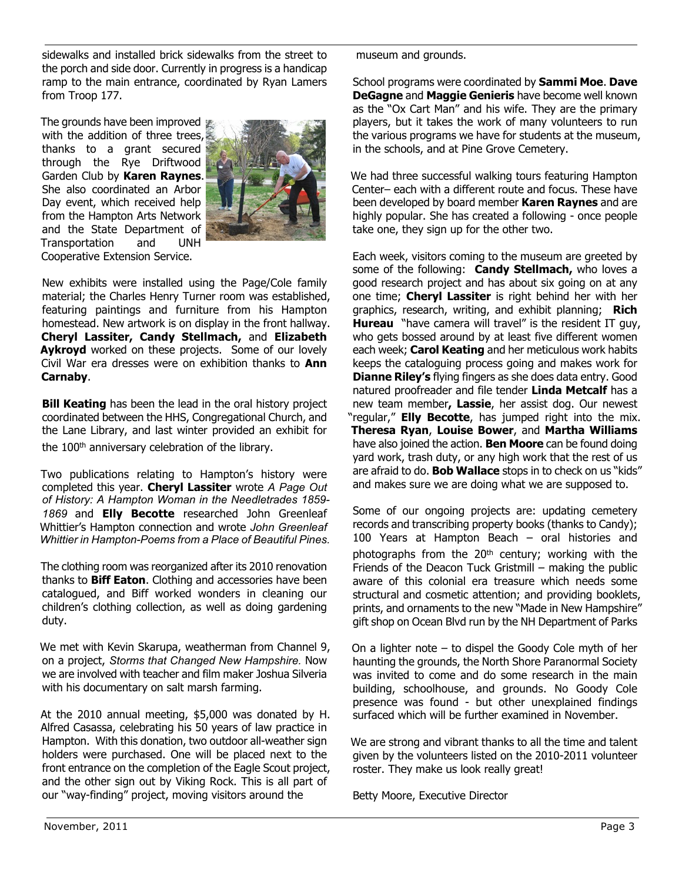sidewalks and installed brick sidewalks from the street to the porch and side door. Currently in progress is a handicap ramp to the main entrance, coordinated by Ryan Lamers from Troop 177.

The grounds have been improved with the addition of three trees, thanks to a grant secured through the Rye Driftwood Garden Club by **Karen Raynes**. She also coordinated an Arbor Day event, which received help from the Hampton Arts Network and the State Department of Transportation and UNH Cooperative Extension Service.



New exhibits were installed using the Page/Cole family material; the Charles Henry Turner room was established, featuring paintings and furniture from his Hampton homestead. New artwork is on display in the front hallway. **Cheryl Lassiter, Candy Stellmach,** and **Elizabeth Aykroyd** worked on these projects. Some of our lovely Civil War era dresses were on exhibition thanks to **Ann Carnaby**.

**Bill Keating** has been the lead in the oral history project coordinated between the HHS, Congregational Church, and the Lane Library, and last winter provided an exhibit for the 100<sup>th</sup> anniversary celebration of the library.

Two publications relating to Hampton's history were completed this year. **Cheryl Lassiter** wrote *A Page Out of History: A Hampton Woman in the Needletrades 1859- 1869* and **Elly Becotte** researched John Greenleaf Whittier's Hampton connection and wrote *John Greenleaf Whittier in Hampton-Poems from a Place of Beautiful Pines.*

The clothing room was reorganized after its 2010 renovation thanks to **Biff Eaton**. Clothing and accessories have been catalogued, and Biff worked wonders in cleaning our children's clothing collection, as well as doing gardening duty.

We met with Kevin Skarupa, weatherman from Channel 9, on a project, *Storms that Changed New Hampshire.* Now we are involved with teacher and film maker Joshua Silveria with his documentary on salt marsh farming.

At the 2010 annual meeting, \$5,000 was donated by H. Alfred Casassa, celebrating his 50 years of law practice in Hampton. With this donation, two outdoor all-weather sign holders were purchased. One will be placed next to the front entrance on the completion of the Eagle Scout project, and the other sign out by Viking Rock. This is all part of our "way-finding" project, moving visitors around the

museum and grounds.

School programs were coordinated by **Sammi Moe**. **Dave DeGagne** and **Maggie Genieris** have become well known as the "Ox Cart Man" and his wife. They are the primary players, but it takes the work of many volunteers to run the various programs we have for students at the museum, in the schools, and at Pine Grove Cemetery.

We had three successful walking tours featuring Hampton Center– each with a different route and focus. These have been developed by board member **Karen Raynes** and are highly popular. She has created a following - once people take one, they sign up for the other two.

Each week, visitors coming to the museum are greeted by some of the following: **Candy Stellmach,** who loves a good research project and has about six going on at any one time; **Cheryl Lassiter** is right behind her with her graphics, research, writing, and exhibit planning; **Rich Hureau** "have camera will travel" is the resident IT guy, who gets bossed around by at least five different women each week; **Carol Keating** and her meticulous work habits keeps the cataloguing process going and makes work for **Dianne Riley's** flying fingers as she does data entry. Good natured proofreader and file tender **Linda Metcalf** has a new team member**, Lassie**, her assist dog. Our newest "regular," **Elly Becotte**, has jumped right into the mix. **Theresa Ryan**, **Louise Bower**, and **Martha Williams** have also joined the action. **Ben Moore** can be found doing yard work, trash duty, or any high work that the rest of us are afraid to do. **Bob Wallace** stops in to check on us "kids" and makes sure we are doing what we are supposed to.

Some of our ongoing projects are: updating cemetery records and transcribing property books (thanks to Candy); 100 Years at Hampton Beach – oral histories and photographs from the 20th century; working with the Friends of the Deacon Tuck Gristmill – making the public aware of this colonial era treasure which needs some structural and cosmetic attention; and providing booklets, prints, and ornaments to the new "Made in New Hampshire" gift shop on Ocean Blvd run by the NH Department of Parks

On a lighter note – to dispel the Goody Cole myth of her haunting the grounds, the North Shore Paranormal Society was invited to come and do some research in the main building, schoolhouse, and grounds. No Goody Cole presence was found - but other unexplained findings surfaced which will be further examined in November.

We are strong and vibrant thanks to all the time and talent given by the volunteers listed on the 2010-2011 volunteer roster. They make us look really great!

Betty Moore, Executive Director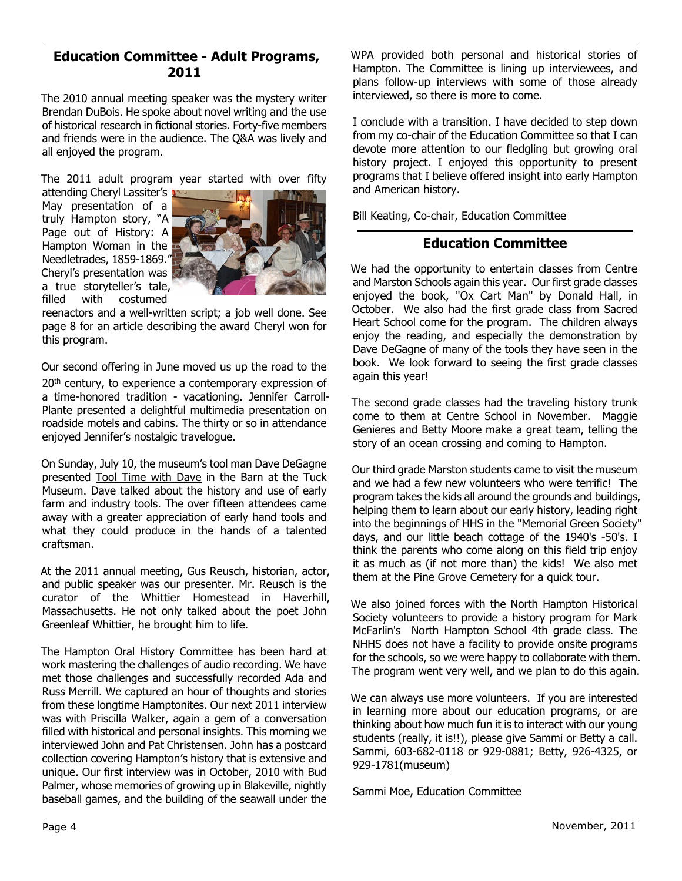## **Education Committee - Adult Programs, 2011**

The 2010 annual meeting speaker was the mystery writer Brendan DuBois. He spoke about novel writing and the use of historical research in fictional stories. Forty-five members and friends were in the audience. The Q&A was lively and all enjoyed the program.

The 2011 adult program year started with over fifty

attending Cheryl Lassiter's May presentation of a truly Hampton story, "A Page out of History: A Hampton Woman in the Needletrades, 1859-1869." Cheryl's presentation was a true storyteller's tale, filled with costumed



reenactors and a well-written script; a job well done. See page 8 for an article describing the award Cheryl won for this program.

Our second offering in June moved us up the road to the

20<sup>th</sup> century, to experience a contemporary expression of a time-honored tradition - vacationing. Jennifer Carroll-Plante presented a delightful multimedia presentation on roadside motels and cabins. The thirty or so in attendance enjoyed Jennifer's nostalgic travelogue.

On Sunday, July 10, the museum's tool man Dave DeGagne presented Tool Time with Dave in the Barn at the Tuck Museum. Dave talked about the history and use of early farm and industry tools. The over fifteen attendees came away with a greater appreciation of early hand tools and what they could produce in the hands of a talented craftsman.

At the 2011 annual meeting, Gus Reusch, historian, actor, and public speaker was our presenter. Mr. Reusch is the curator of the Whittier Homestead in Haverhill, Massachusetts. He not only talked about the poet John Greenleaf Whittier, he brought him to life.

The Hampton Oral History Committee has been hard at work mastering the challenges of audio recording. We have met those challenges and successfully recorded Ada and Russ Merrill. We captured an hour of thoughts and stories from these longtime Hamptonites. Our next 2011 interview was with Priscilla Walker, again a gem of a conversation filled with historical and personal insights. This morning we interviewed John and Pat Christensen. John has a postcard collection covering Hampton's history that is extensive and unique. Our first interview was in October, 2010 with Bud Palmer, whose memories of growing up in Blakeville, nightly baseball games, and the building of the seawall under the WPA provided both personal and historical stories of Hampton. The Committee is lining up interviewees, and plans follow-up interviews with some of those already interviewed, so there is more to come.

I conclude with a transition. I have decided to step down from my co-chair of the Education Committee so that I can devote more attention to our fledgling but growing oral history project. I enjoyed this opportunity to present programs that I believe offered insight into early Hampton and American history.

Bill Keating, Co-chair, Education Committee

# **Education Committee**

We had the opportunity to entertain classes from Centre and Marston Schools again this year. Our first grade classes enjoyed the book, "Ox Cart Man" by Donald Hall, in October. We also had the first grade class from Sacred Heart School come for the program. The children always enjoy the reading, and especially the demonstration by Dave DeGagne of many of the tools they have seen in the book. We look forward to seeing the first grade classes again this year!

The second grade classes had the traveling history trunk come to them at Centre School in November. Maggie Genieres and Betty Moore make a great team, telling the story of an ocean crossing and coming to Hampton.

Our third grade Marston students came to visit the museum and we had a few new volunteers who were terrific! The program takes the kids all around the grounds and buildings, helping them to learn about our early history, leading right into the beginnings of HHS in the "Memorial Green Society" days, and our little beach cottage of the 1940's -50's. I think the parents who come along on this field trip enjoy it as much as (if not more than) the kids! We also met them at the Pine Grove Cemetery for a quick tour.

We also joined forces with the North Hampton Historical Society volunteers to provide a history program for Mark McFarlin's North Hampton School 4th grade class. The NHHS does not have a facility to provide onsite programs for the schools, so we were happy to collaborate with them. The program went very well, and we plan to do this again.

We can always use more volunteers. If you are interested in learning more about our education programs, or are thinking about how much fun it is to interact with our young students (really, it is!!), please give Sammi or Betty a call. Sammi, 603-682-0118 or 929-0881; Betty, 926-4325, or 929-1781(museum)

Sammi Moe, Education Committee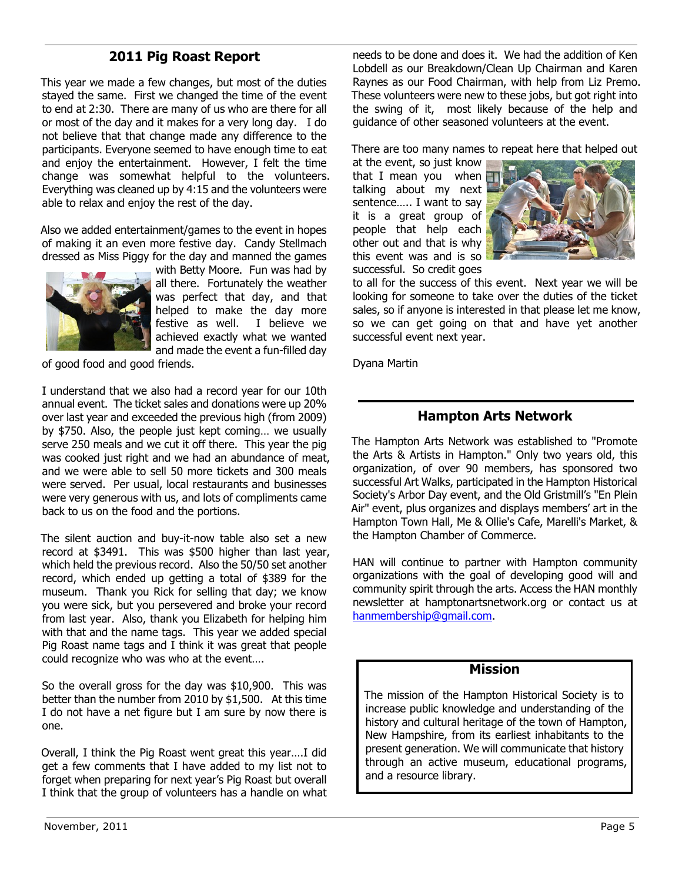# **2011 Pig Roast Report**

This year we made a few changes, but most of the duties stayed the same. First we changed the time of the event to end at 2:30. There are many of us who are there for all or most of the day and it makes for a very long day. I do not believe that that change made any difference to the participants. Everyone seemed to have enough time to eat and enjoy the entertainment. However, I felt the time change was somewhat helpful to the volunteers. Everything was cleaned up by 4:15 and the volunteers were able to relax and enjoy the rest of the day.

Also we added entertainment/games to the event in hopes of making it an even more festive day. Candy Stellmach dressed as Miss Piggy for the day and manned the games



with Betty Moore. Fun was had by all there. Fortunately the weather was perfect that day, and that helped to make the day more festive as well. I believe we achieved exactly what we wanted and made the event a fun-filled day

of good food and good friends.

I understand that we also had a record year for our 10th annual event. The ticket sales and donations were up 20% over last year and exceeded the previous high (from 2009) by \$750. Also, the people just kept coming… we usually serve 250 meals and we cut it off there. This year the pig was cooked just right and we had an abundance of meat, and we were able to sell 50 more tickets and 300 meals were served. Per usual, local restaurants and businesses were very generous with us, and lots of compliments came back to us on the food and the portions.

The silent auction and buy-it-now table also set a new record at \$3491. This was \$500 higher than last year, which held the previous record. Also the 50/50 set another record, which ended up getting a total of \$389 for the museum. Thank you Rick for selling that day; we know you were sick, but you persevered and broke your record from last year. Also, thank you Elizabeth for helping him with that and the name tags. This year we added special Pig Roast name tags and I think it was great that people could recognize who was who at the event….

So the overall gross for the day was \$10,900. This was better than the number from 2010 by \$1,500. At this time I do not have a net figure but I am sure by now there is one.

Overall, I think the Pig Roast went great this year….I did get a few comments that I have added to my list not to forget when preparing for next year's Pig Roast but overall I think that the group of volunteers has a handle on what

needs to be done and does it. We had the addition of Ken Lobdell as our Breakdown/Clean Up Chairman and Karen Raynes as our Food Chairman, with help from Liz Premo. These volunteers were new to these jobs, but got right into the swing of it, most likely because of the help and guidance of other seasoned volunteers at the event.

There are too many names to repeat here that helped out

at the event, so just know that I mean you when talking about my next sentence….. I want to say it is a great group of people that help each other out and that is why this event was and is so successful. So credit goes



to all for the success of this event. Next year we will be looking for someone to take over the duties of the ticket sales, so if anyone is interested in that please let me know, so we can get going on that and have yet another successful event next year.

Dyana Martin

## **Hampton Arts Network**

The Hampton Arts Network was established to "Promote the Arts & Artists in Hampton." Only two years old, this organization, of over 90 members, has sponsored two successful Art Walks, participated in the Hampton Historical Society's Arbor Day event, and the Old Gristmill's "En Plein Air" event, plus organizes and displays members' art in the Hampton Town Hall, Me & Ollie's Cafe, Marelli's Market, & the Hampton Chamber of Commerce.

HAN will continue to partner with Hampton community organizations with the goal of developing good will and community spirit through the arts. Access the HAN monthly newsletter at hamptonartsnetwork.org or contact us at hanmembership@gmail.com.

#### **Mission**

The mission of the Hampton Historical Society is to increase public knowledge and understanding of the history and cultural heritage of the town of Hampton, New Hampshire, from its earliest inhabitants to the present generation. We will communicate that history through an active museum, educational programs, and a resource library.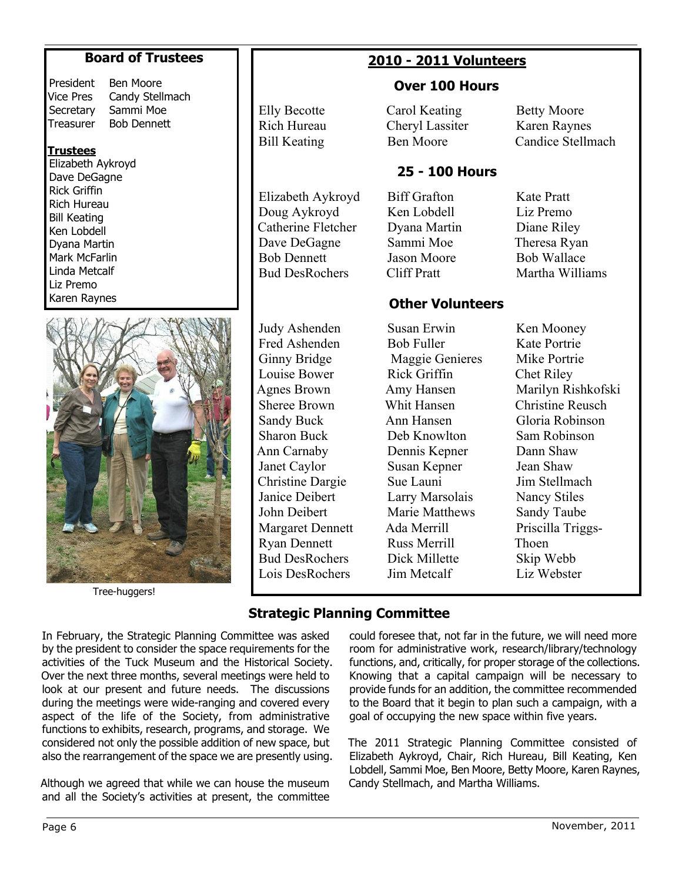# **Board of Trustees**

| President |  |
|-----------|--|
| Vice Pres |  |
| Secretary |  |
| Treasurer |  |

Ben Moore Candy Stellmach Sammi Moe Bob Dennett

#### **Trustees**

Elizabeth Aykroyd Dave DeGagne Rick Griffin Rich Hureau Bill Keating Ken Lobdell Dyana Martin Mark McFarlin Linda Metcalf Liz Premo Karen Raynes



Tree-huggers!

## Elly Becotte Rich Hureau Bill Keating

# **2010 - 2011 Volunteers**

# **Over 100 Hours**

Carol Keating Cheryl Lassiter Ben Moore

# **25 - 100 Hours**

**Other Volunteers**

Elizabeth Aykroyd Doug Aykroyd Catherine Fletcher Dave DeGagne Bob Dennett Bud DesRochers

Judy Ashenden Fred Ashenden Ginny Bridge Louise Bower Agnes Brown Sheree Brown Sandy Buck Sharon Buck Ann Carnaby Janet Caylor Christine Dargie Janice Deibert John Deibert Margaret Dennett Ryan Dennett Bud DesRochers Lois DesRochers

Biff Grafton Ken Lobdell Dyana Martin Sammi Moe Jason Moore Cliff Pratt

Betty Moore Karen Raynes Candice Stellmach

Kate Pratt Liz Premo Diane Riley Theresa Ryan Bob Wallace Martha Williams

Susan Erwin Bob Fuller Maggie Genieres Rick Griffin Amy Hansen Whit Hansen Ann Hansen Deb Knowlton Dennis Kepner Susan Kepner Sue Launi Larry Marsolais Marie Matthews Ada Merrill Russ Merrill Dick Millette Jim Metcalf

Ken Mooney Kate Portrie Mike Portrie Chet Riley Marilyn Rishkofski Christine Reusch Gloria Robinson Sam Robinson Dann Shaw Jean Shaw Jim Stellmach Nancy Stiles Sandy Taube Priscilla Triggs-Thoen Skip Webb Liz Webster

# **Strategic Planning Committee**

In February, the Strategic Planning Committee was asked by the president to consider the space requirements for the activities of the Tuck Museum and the Historical Society. Over the next three months, several meetings were held to look at our present and future needs. The discussions during the meetings were wide-ranging and covered every aspect of the life of the Society, from administrative functions to exhibits, research, programs, and storage. We considered not only the possible addition of new space, but also the rearrangement of the space we are presently using.

Although we agreed that while we can house the museum and all the Society's activities at present, the committee could foresee that, not far in the future, we will need more room for administrative work, research/library/technology functions, and, critically, for proper storage of the collections. Knowing that a capital campaign will be necessary to provide funds for an addition, the committee recommended to the Board that it begin to plan such a campaign, with a goal of occupying the new space within five years.

The 2011 Strategic Planning Committee consisted of Elizabeth Aykroyd, Chair, Rich Hureau, Bill Keating, Ken Lobdell, Sammi Moe, Ben Moore, Betty Moore, Karen Raynes, Candy Stellmach, and Martha Williams.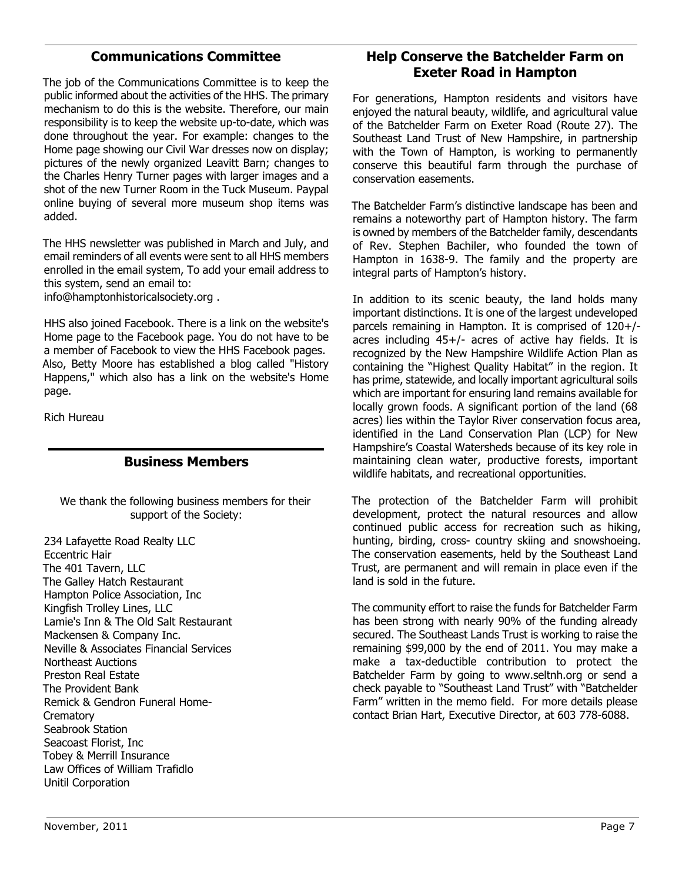# **Communications Committee**

The job of the Communications Committee is to keep the public informed about the activities of the HHS. The primary mechanism to do this is the website. Therefore, our main responsibility is to keep the website up-to-date, which was done throughout the year. For example: changes to the Home page showing our Civil War dresses now on display; pictures of the newly organized Leavitt Barn; changes to the Charles Henry Turner pages with larger images and a shot of the new Turner Room in the Tuck Museum. Paypal online buying of several more museum shop items was added.

The HHS newsletter was published in March and July, and email reminders of all events were sent to all HHS members enrolled in the email system, To add your email address to this system, send an email to:

info@hamptonhistoricalsociety.org .

HHS also joined Facebook. There is a link on the website's Home page to the Facebook page. You do not have to be a member of Facebook to view the HHS Facebook pages. Also, Betty Moore has established a blog called "History Happens," which also has a link on the website's Home page.

Rich Hureau

# **Business Members**

We thank the following business members for their support of the Society:

234 Lafayette Road Realty LLC Eccentric Hair The 401 Tavern, LLC The Galley Hatch Restaurant Hampton Police Association, Inc Kingfish Trolley Lines, LLC Lamie's Inn & The Old Salt Restaurant Mackensen & Company Inc. Neville & Associates Financial Services Northeast Auctions Preston Real Estate The Provident Bank Remick & Gendron Funeral Home-**Crematory** Seabrook Station Seacoast Florist, Inc Tobey & Merrill Insurance Law Offices of William Trafidlo Unitil Corporation

# **Help Conserve the Batchelder Farm on Exeter Road in Hampton**

For generations, Hampton residents and visitors have enjoyed the natural beauty, wildlife, and agricultural value of the Batchelder Farm on Exeter Road (Route 27). The Southeast Land Trust of New Hampshire, in partnership with the Town of Hampton, is working to permanently conserve this beautiful farm through the purchase of conservation easements.

The Batchelder Farm's distinctive landscape has been and remains a noteworthy part of Hampton history. The farm is owned by members of the Batchelder family, descendants of Rev. Stephen Bachiler, who founded the town of Hampton in 1638-9. The family and the property are integral parts of Hampton's history.

In addition to its scenic beauty, the land holds many important distinctions. It is one of the largest undeveloped parcels remaining in Hampton. It is comprised of 120+/ acres including 45+/- acres of active hay fields. It is recognized by the New Hampshire Wildlife Action Plan as containing the "Highest Quality Habitat" in the region. It has prime, statewide, and locally important agricultural soils which are important for ensuring land remains available for locally grown foods. A significant portion of the land (68 acres) lies within the Taylor River conservation focus area, identified in the Land Conservation Plan (LCP) for New Hampshire's Coastal Watersheds because of its key role in maintaining clean water, productive forests, important wildlife habitats, and recreational opportunities.

The protection of the Batchelder Farm will prohibit development, protect the natural resources and allow continued public access for recreation such as hiking, hunting, birding, cross- country skiing and snowshoeing. The conservation easements, held by the Southeast Land Trust, are permanent and will remain in place even if the land is sold in the future.

The community effort to raise the funds for Batchelder Farm has been strong with nearly 90% of the funding already secured. The Southeast Lands Trust is working to raise the remaining \$99,000 by the end of 2011. You may make a make a tax-deductible contribution to protect the Batchelder Farm by going to www.seltnh.org or send a check payable to "Southeast Land Trust" with "Batchelder Farm" written in the memo field. For more details please contact Brian Hart, Executive Director, at 603 778-6088.